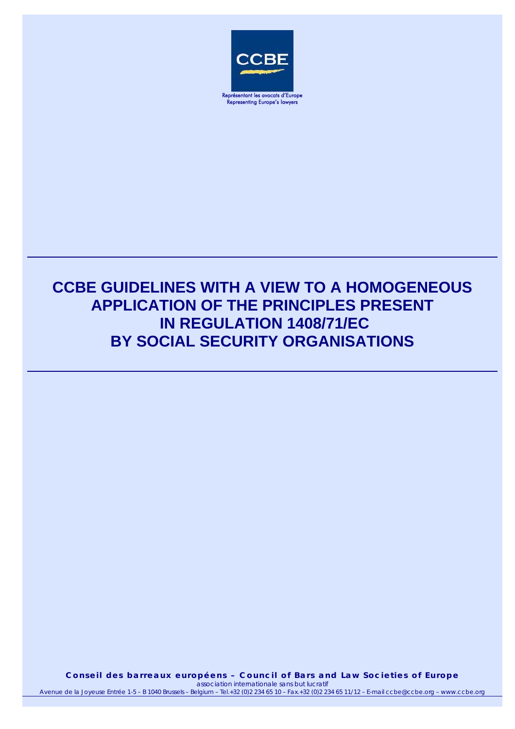

Représentant les avocats d'Europe Representing Europe's lawyers

# **CCBE GUIDELINES WITH A VIEW TO A HOMOGENEOUS APPLICATION OF THE PRINCIPLES PRESENT IN REGULATION 1408/71/EC BY SOCIAL SECURITY ORGANISATIONS**

**Conseil des barreaux européens – Council of Bars and Law Societies of Europe**  *association internationale sans but lucratif* Avenue de la Joyeuse Entrée 1-5 – B 1040 Brussels – Belgium – Tel.+32 (0)2 234 65 10 – Fax.+32 (0)2 234 65 11/12 – E-mail ccbe@ccbe.org – www.ccbe.org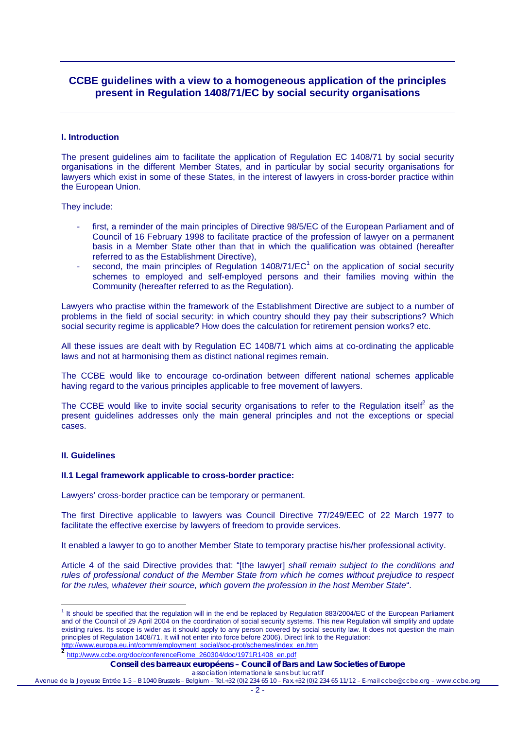# **CCBE guidelines with a view to a homogeneous application of the principles present in Regulation 1408/71/EC by social security organisations**

#### **I. Introduction**

The present guidelines aim to facilitate the application of Regulation EC 1408/71 by social security organisations in the different Member States, and in particular by social security organisations for lawyers which exist in some of these States, in the interest of lawyers in cross-border practice within the European Union.

They include:

- first, a reminder of the main principles of Directive 98/5/EC of the European Parliament and of Council of 16 February 1998 to facilitate practice of the profession of lawyer on a permanent basis in a Member State other than that in which the qualification was obtained (hereafter referred to as the Establishment Directive),
- second, the main principles of Regulation  $1408/71/EC<sup>1</sup>$  on the application of social security schemes to employed and self-employed persons and their families moving within the Community (hereafter referred to as the Regulation).

Lawyers who practise within the framework of the Establishment Directive are subject to a number of problems in the field of social security: in which country should they pay their subscriptions? Which social security regime is applicable? How does the calculation for retirement pension works? etc.

All these issues are dealt with by Regulation EC 1408/71 which aims at co-ordinating the applicable laws and not at harmonising them as distinct national regimes remain.

The CCBE would like to encourage co-ordination between different national schemes applicable having regard to the various principles applicable to free movement of lawyers.

The CCBE would like to invite social security organisations to refer to the Regulation itself<sup>2</sup> as the present guidelines addresses only the main general principles and not the exceptions or special cases.

# **II. Guidelines**

#### **II.1 Legal framework applicable to cross-border practice:**

Lawyers' cross-border practice can be temporary or permanent.

The first Directive applicable to lawyers was Council Directive 77/249/EEC of 22 March 1977 to facilitate the effective exercise by lawyers of freedom to provide services.

It enabled a lawyer to go to another Member State to temporary practise his/her professional activity.

Article 4 of the said Directive provides that: "[the lawyer] *shall remain subject to the conditions and rules of professional conduct of the Member State from which he comes without prejudice to respect for the rules, whatever their source, which govern the profession in the host Member State*".

http://www.europa.eu.int/comm/employment\_social/soc-prot/schemes/index\_en.htm **<sup>2</sup>** http://www.ccbe.org/doc/conferenceRome\_260304/doc/1971R1408\_en.pdf

#### **Conseil des barreaux européens – Council of Bars and Law Societies of Europe**

*association internationale sans but lucratif*

Avenue de la Joyeuse Entrée 1-5 – B 1040 Brussels – Belgium – Tel.+32 (0)2 234 65 10 – Fax.+32 (0)2 234 65 11/12 – E-mail ccbe@ccbe.org – www.ccbe.org

**The should be specified that the regulation will in the end be replaced by Regulation 883/2004/EC of the European Parliament** and of the Council of 29 April 2004 on the coordination of social security systems. This new Regulation will simplify and update existing rules. Its scope is wider as it should apply to any person covered by social security law. It does not question the main principles of Regulation 1408/71. It will not enter into force before 2006). Direct link to the Regulation: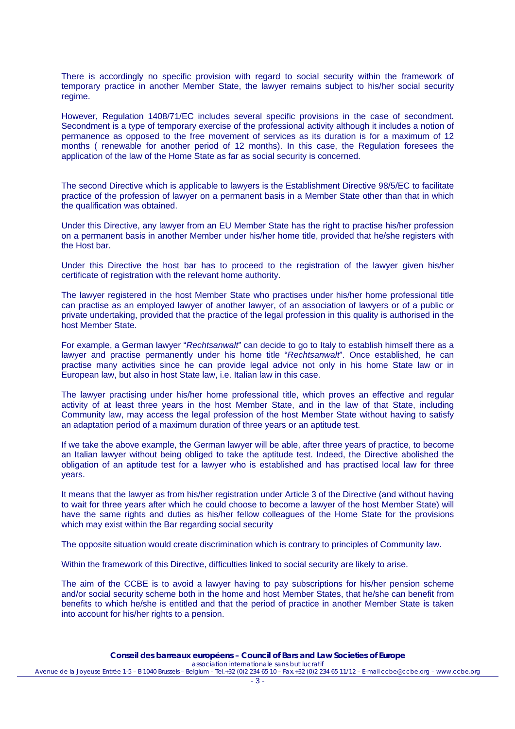There is accordingly no specific provision with regard to social security within the framework of temporary practice in another Member State, the lawyer remains subject to his/her social security regime.

However, Regulation 1408/71/EC includes several specific provisions in the case of secondment. Secondment is a type of temporary exercise of the professional activity although it includes a notion of permanence as opposed to the free movement of services as its duration is for a maximum of 12 months ( renewable for another period of 12 months). In this case, the Regulation foresees the application of the law of the Home State as far as social security is concerned.

The second Directive which is applicable to lawyers is the Establishment Directive 98/5/EC to facilitate practice of the profession of lawyer on a permanent basis in a Member State other than that in which the qualification was obtained.

Under this Directive, any lawyer from an EU Member State has the right to practise his/her profession on a permanent basis in another Member under his/her home title, provided that he/she registers with the Host bar.

Under this Directive the host bar has to proceed to the registration of the lawyer given his/her certificate of registration with the relevant home authority.

The lawyer registered in the host Member State who practises under his/her home professional title can practise as an employed lawyer of another lawyer, of an association of lawyers or of a public or private undertaking, provided that the practice of the legal profession in this quality is authorised in the host Member State.

For example, a German lawyer "*Rechtsanwalt*" can decide to go to Italy to establish himself there as a lawyer and practise permanently under his home title "*Rechtsanwalt*". Once established, he can practise many activities since he can provide legal advice not only in his home State law or in European law, but also in host State law, i.e. Italian law in this case.

The lawyer practising under his/her home professional title, which proves an effective and regular activity of at least three years in the host Member State, and in the law of that State, including Community law, may access the legal profession of the host Member State without having to satisfy an adaptation period of a maximum duration of three years or an aptitude test.

If we take the above example, the German lawyer will be able, after three years of practice, to become an Italian lawyer without being obliged to take the aptitude test. Indeed, the Directive abolished the obligation of an aptitude test for a lawyer who is established and has practised local law for three years.

It means that the lawyer as from his/her registration under Article 3 of the Directive (and without having to wait for three years after which he could choose to become a lawyer of the host Member State) will have the same rights and duties as his/her fellow colleagues of the Home State for the provisions which may exist within the Bar regarding social security

The opposite situation would create discrimination which is contrary to principles of Community law.

Within the framework of this Directive, difficulties linked to social security are likely to arise.

The aim of the CCBE is to avoid a lawyer having to pay subscriptions for his/her pension scheme and/or social security scheme both in the home and host Member States, that he/she can benefit from benefits to which he/she is entitled and that the period of practice in another Member State is taken into account for his/her rights to a pension.

*association internationale sans but lucratif* Avenue de la Joyeuse Entrée 1-5 – B 1040 Brussels – Belgium – Tel.+32 (0)2 234 65 10 – Fax.+32 (0)2 234 65 11/12 – E-mail ccbe@ccbe.org – www.ccbe.org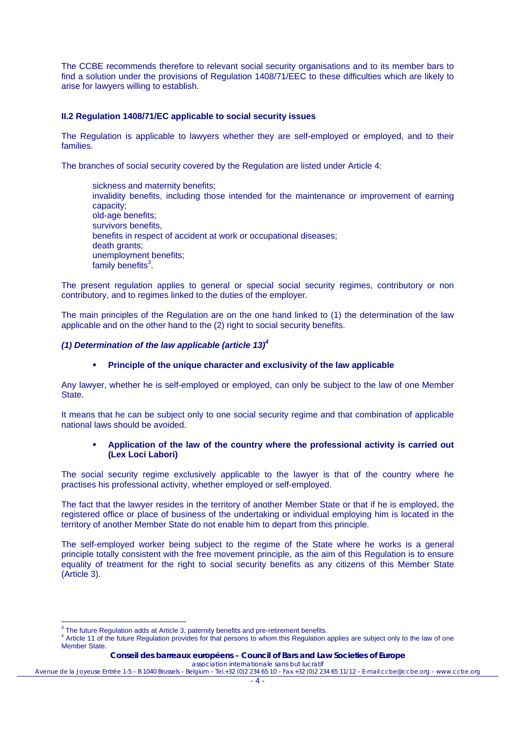The CCBE recommends therefore to relevant social security organisations and to its member bars to find a solution under the provisions of Regulation 1408/71/EEC to these difficulties which are likely to arise for lawyers willing to establish.

# **II.2 Regulation 1408/71/EC applicable to social security issues**

The Regulation is applicable to lawyers whether they are self-employed or employed, and to their families.

The branches of social security covered by the Regulation are listed under Article 4:

sickness and maternity benefits; invalidity benefits, including those intended for the maintenance or improvement of earning capacity; old-age benefits; survivors benefits, benefits in respect of accident at work or occupational diseases; **death grants:** unemployment benefits; family benefits<sup>3</sup>.

The present regulation applies to general or special social security regimes, contributory or non contributory, and to regimes linked to the duties of the employer.

The main principles of the Regulation are on the one hand linked to (1) the determination of the law applicable and on the other hand to the (2) right to social security benefits.

# *(1) Determination of the law applicable (article 13)4*

# **Principle of the unique character and exclusivity of the law applicable**

Any lawyer, whether he is self-employed or employed, can only be subject to the law of one Member State.

It means that he can be subject only to one social security regime and that combination of applicable national laws should be avoided.

#### **Application of the law of the country where the professional activity is carried out (Lex Loci Labori)**

The social security regime exclusively applicable to the lawyer is that of the country where he practises his professional activity, whether employed or self-employed.

The fact that the lawyer resides in the territory of another Member State or that if he is employed, the registered office or place of business of the undertaking or individual employing him is located in the territory of another Member State do not enable him to depart from this principle.

The self-employed worker being subject to the regime of the State where he works is a general principle totally consistent with the free movement principle, as the aim of this Regulation is to ensure equality of treatment for the right to social security benefits as any citizens of this Member State (Article 3).

  $3$  The future Regulation adds at Article 3, paternity benefits and pre-retirement benefits.

<sup>&</sup>lt;sup>4</sup> Article 11 of the future Regulation provides for that persons to whom this Regulation applies are subject only to the law of one Member State.

**Conseil des barreaux européens – Council of Bars and Law Societies of Europe**  *association internationale sans but lucratif*

Avenue de la Joyeuse Entrée 1-5 – B 1040 Brussels – Belgium – Tel.+32 (0)2 234 65 10 – Fax.+32 (0)2 234 65 11/12 – E-mail ccbe@ccbe.org – www.ccbe.org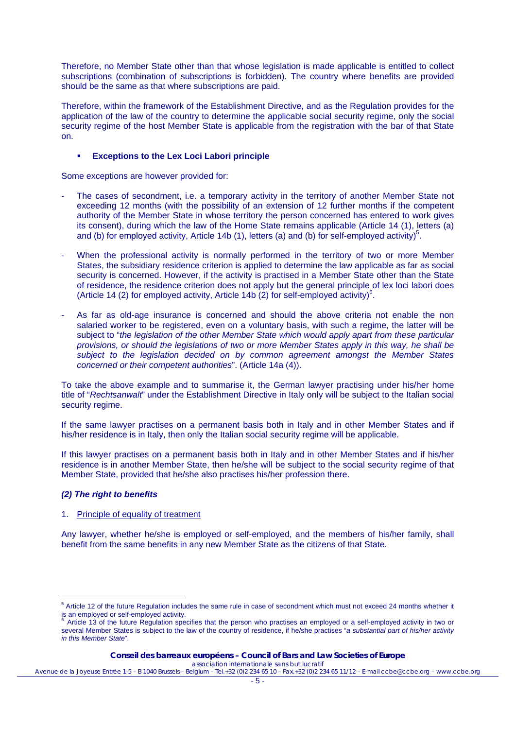Therefore, no Member State other than that whose legislation is made applicable is entitled to collect subscriptions (combination of subscriptions is forbidden). The country where benefits are provided should be the same as that where subscriptions are paid.

Therefore, within the framework of the Establishment Directive, and as the Regulation provides for the application of the law of the country to determine the applicable social security regime, only the social security regime of the host Member State is applicable from the registration with the bar of that State on.

#### **Exceptions to the Lex Loci Labori principle**

Some exceptions are however provided for:

- The cases of secondment, i.e. a temporary activity in the territory of another Member State not exceeding 12 months (with the possibility of an extension of 12 further months if the competent authority of the Member State in whose territory the person concerned has entered to work gives its consent), during which the law of the Home State remains applicable (Article 14 (1), letters (a) and (b) for employed activity, Article 14b (1), letters (a) and (b) for self-employed activity)<sup>5</sup>.
- When the professional activity is normally performed in the territory of two or more Member States, the subsidiary residence criterion is applied to determine the law applicable as far as social security is concerned. However, if the activity is practised in a Member State other than the State of residence, the residence criterion does not apply but the general principle of lex loci labori does (Article 14 (2) for employed activity, Article 14b (2) for self-employed activity) $^{6}$ .
- As far as old-age insurance is concerned and should the above criteria not enable the non salaried worker to be registered, even on a voluntary basis, with such a regime, the latter will be subject to "*the legislation of the other Member State which would apply apart from these particular provisions, or should the legislations of two or more Member States apply in this way, he shall be subject to the legislation decided on by common agreement amongst the Member States concerned or their competent authorities*". (Article 14a (4)).

To take the above example and to summarise it, the German lawyer practising under his/her home title of "*Rechtsanwalt*" under the Establishment Directive in Italy only will be subject to the Italian social security regime.

If the same lawyer practises on a permanent basis both in Italy and in other Member States and if his/her residence is in Italy, then only the Italian social security regime will be applicable.

If this lawyer practises on a permanent basis both in Italy and in other Member States and if his/her residence is in another Member State, then he/she will be subject to the social security regime of that Member State, provided that he/she also practises his/her profession there.

# *(2) The right to benefits*

#### 1. Principle of equality of treatment

Any lawyer, whether he/she is employed or self-employed, and the members of his/her family, shall benefit from the same benefits in any new Member State as the citizens of that State.

**Conseil des barreaux européens – Council of Bars and Law Societies of Europe**  *association internationale sans but lucratif*

**EXECT**<br><sup>5</sup> Article 12 of the future Regulation includes the same rule in case of secondment which must not exceed 24 months whether it is an employed or self-employed activity.

Article 13 of the future Regulation specifies that the person who practises an employed or a self-employed activity in two or several Member States is subject to the law of the country of residence, if he/she practises "*a substantial part of his/her activity in this Member State*".

Avenue de la Joyeuse Entrée 1-5 – B 1040 Brussels – Belgium – Tel.+32 (0)2 234 65 10 – Fax.+32 (0)2 234 65 11/12 – E-mail ccbe@ccbe.org – www.ccbe.org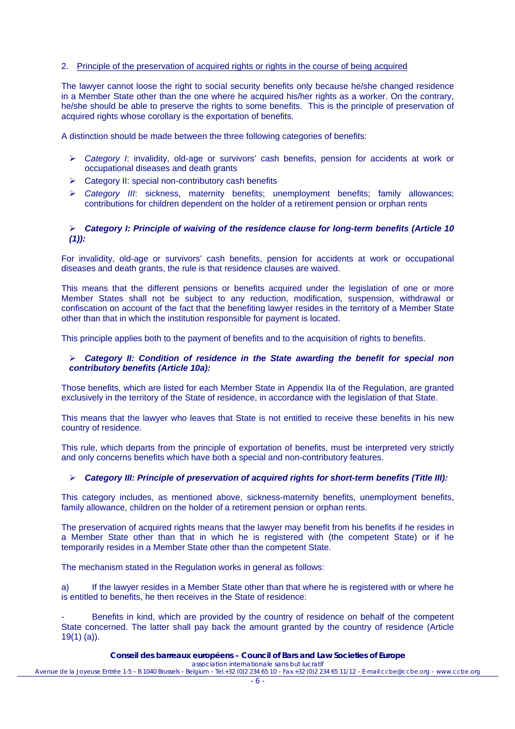# 2. Principle of the preservation of acquired rights or rights in the course of being acquired

The lawyer cannot loose the right to social security benefits only because he/she changed residence in a Member State other than the one where he acquired his/her rights as a worker. On the contrary, he/she should be able to preserve the rights to some benefits. This is the principle of preservation of acquired rights whose corollary is the exportation of benefits.

A distinction should be made between the three following categories of benefits:

- ¾ *Category I*: invalidity, old-age or survivors' cash benefits, pension for accidents at work or occupational diseases and death grants
- $\triangleright$  Category II: special non-contributory cash benefits
- ¾ *Category III*: sickness, maternity benefits; unemployment benefits; family allowances; contributions for children dependent on the holder of a retirement pension or orphan rents

#### ¾ *Category I: Principle of waiving of the residence clause for long-term benefits (Article 10 (1)):*

For invalidity, old-age or survivors' cash benefits, pension for accidents at work or occupational diseases and death grants, the rule is that residence clauses are waived.

This means that the different pensions or benefits acquired under the legislation of one or more Member States shall not be subject to any reduction, modification, suspension, withdrawal or confiscation on account of the fact that the benefiting lawyer resides in the territory of a Member State other than that in which the institution responsible for payment is located.

This principle applies both to the payment of benefits and to the acquisition of rights to benefits.

# ¾ *Category II: Condition of residence in the State awarding the benefit for special non contributory benefits (Article 10a):*

Those benefits, which are listed for each Member State in Appendix IIa of the Regulation, are granted exclusively in the territory of the State of residence, in accordance with the legislation of that State.

This means that the lawyer who leaves that State is not entitled to receive these benefits in his new country of residence.

This rule, which departs from the principle of exportation of benefits, must be interpreted very strictly and only concerns benefits which have both a special and non-contributory features.

# ¾ *Category III: Principle of preservation of acquired rights for short-term benefits (Title III):*

This category includes, as mentioned above, sickness-maternity benefits, unemployment benefits, family allowance, children on the holder of a retirement pension or orphan rents.

The preservation of acquired rights means that the lawyer may benefit from his benefits if he resides in a Member State other than that in which he is registered with (the competent State) or if he temporarily resides in a Member State other than the competent State.

The mechanism stated in the Regulation works in general as follows:

a) If the lawyer resides in a Member State other than that where he is registered with or where he is entitled to benefits, he then receives in the State of residence:

Benefits in kind, which are provided by the country of residence on behalf of the competent State concerned. The latter shall pay back the amount granted by the country of residence (Article 19(1) (a)).

#### **Conseil des barreaux européens – Council of Bars and Law Societies of Europe**  *association internationale sans but lucratif*

Avenue de la Joyeuse Entrée 1-5 – B 1040 Brussels – Belgium – Tel.+32 (0)2 234 65 10 – Fax.+32 (0)2 234 65 11/12 – E-mail ccbe@ccbe.org – www.ccbe.org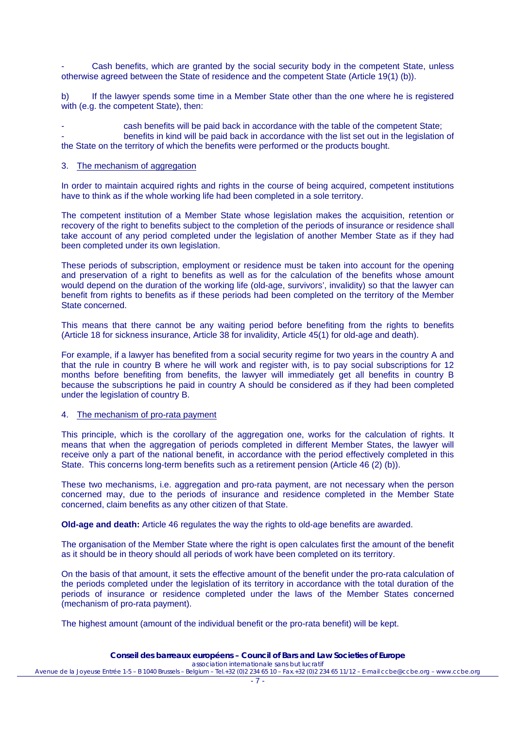Cash benefits, which are granted by the social security body in the competent State, unless otherwise agreed between the State of residence and the competent State (Article 19(1) (b)).

b) If the lawyer spends some time in a Member State other than the one where he is registered with (e.g. the competent State), then:

cash benefits will be paid back in accordance with the table of the competent State; benefits in kind will be paid back in accordance with the list set out in the legislation of the State on the territory of which the benefits were performed or the products bought.

# 3. The mechanism of aggregation

In order to maintain acquired rights and rights in the course of being acquired, competent institutions have to think as if the whole working life had been completed in a sole territory.

The competent institution of a Member State whose legislation makes the acquisition, retention or recovery of the right to benefits subject to the completion of the periods of insurance or residence shall take account of any period completed under the legislation of another Member State as if they had been completed under its own legislation.

These periods of subscription, employment or residence must be taken into account for the opening and preservation of a right to benefits as well as for the calculation of the benefits whose amount would depend on the duration of the working life (old-age, survivors', invalidity) so that the lawyer can benefit from rights to benefits as if these periods had been completed on the territory of the Member State concerned.

This means that there cannot be any waiting period before benefiting from the rights to benefits (Article 18 for sickness insurance, Article 38 for invalidity, Article 45(1) for old-age and death).

For example, if a lawyer has benefited from a social security regime for two years in the country A and that the rule in country B where he will work and register with, is to pay social subscriptions for 12 months before benefiting from benefits, the lawyer will immediately get all benefits in country B because the subscriptions he paid in country A should be considered as if they had been completed under the legislation of country B.

#### 4. The mechanism of pro-rata payment

This principle, which is the corollary of the aggregation one, works for the calculation of rights. It means that when the aggregation of periods completed in different Member States, the lawyer will receive only a part of the national benefit, in accordance with the period effectively completed in this State. This concerns long-term benefits such as a retirement pension (Article 46 (2) (b)).

These two mechanisms, i.e. aggregation and pro-rata payment, are not necessary when the person concerned may, due to the periods of insurance and residence completed in the Member State concerned, claim benefits as any other citizen of that State.

**Old-age and death:** Article 46 regulates the way the rights to old-age benefits are awarded.

The organisation of the Member State where the right is open calculates first the amount of the benefit as it should be in theory should all periods of work have been completed on its territory.

On the basis of that amount, it sets the effective amount of the benefit under the pro-rata calculation of the periods completed under the legislation of its territory in accordance with the total duration of the periods of insurance or residence completed under the laws of the Member States concerned (mechanism of pro-rata payment).

The highest amount (amount of the individual benefit or the pro-rata benefit) will be kept.

*association internationale sans but lucratif* Avenue de la Joyeuse Entrée 1-5 – B 1040 Brussels – Belgium – Tel.+32 (0)2 234 65 10 – Fax.+32 (0)2 234 65 11/12 – E-mail ccbe@ccbe.org – www.ccbe.org